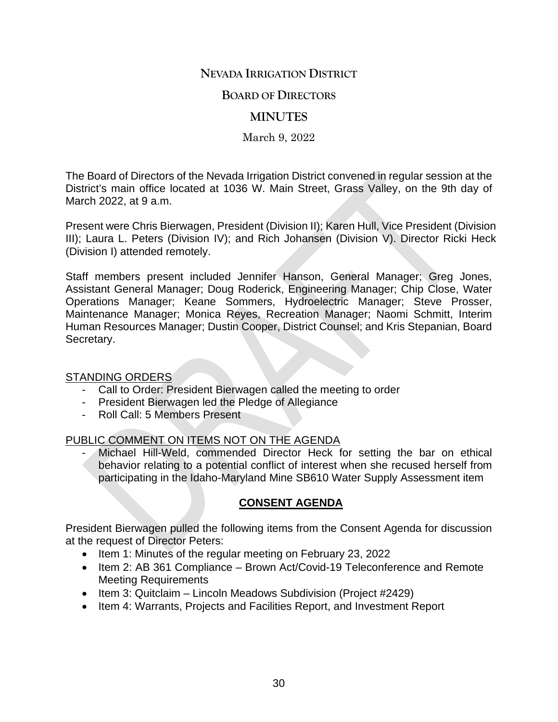# **NEVADA IRRIGATION DISTRICT**

## **BOARD OF DIRECTORS**

# **MINUTES**

March 9, 2022

The Board of Directors of the Nevada Irrigation District convened in regular session at the District's main office located at 1036 W. Main Street, Grass Valley, on the 9th day of March 2022, at 9 a.m.

Present were Chris Bierwagen, President (Division II); Karen Hull, Vice President (Division III); Laura L. Peters (Division IV); and Rich Johansen (Division V). Director Ricki Heck (Division I) attended remotely.

Staff members present included Jennifer Hanson, General Manager; Greg Jones, Assistant General Manager; Doug Roderick, Engineering Manager; Chip Close, Water Operations Manager; Keane Sommers, Hydroelectric Manager; Steve Prosser, Maintenance Manager; Monica Reyes, Recreation Manager; Naomi Schmitt, Interim Human Resources Manager; Dustin Cooper, District Counsel; and Kris Stepanian, Board Secretary.

## STANDING ORDERS

- Call to Order: President Bierwagen called the meeting to order
- President Bierwagen led the Pledge of Allegiance
- Roll Call: 5 Members Present

## PUBLIC COMMENT ON ITEMS NOT ON THE AGENDA

Michael Hill-Weld, commended Director Heck for setting the bar on ethical behavior relating to a potential conflict of interest when she recused herself from participating in the Idaho-Maryland Mine SB610 Water Supply Assessment item

# **CONSENT AGENDA**

President Bierwagen pulled the following items from the Consent Agenda for discussion at the request of Director Peters:

- Item 1: Minutes of the regular meeting on February 23, 2022
- Item 2: AB 361 Compliance Brown Act/Covid-19 Teleconference and Remote Meeting Requirements
- Item 3: Quitclaim Lincoln Meadows Subdivision (Project #2429)
- Item 4: Warrants, Projects and Facilities Report, and Investment Report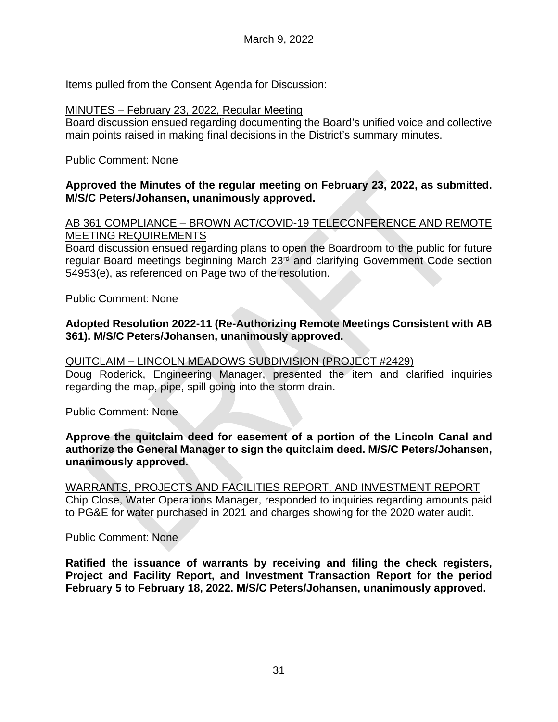Items pulled from the Consent Agenda for Discussion:

#### MINUTES – February 23, 2022, Regular Meeting

Board discussion ensued regarding documenting the Board's unified voice and collective main points raised in making final decisions in the District's summary minutes.

## Public Comment: None

## **Approved the Minutes of the regular meeting on February 23, 2022, as submitted. M/S/C Peters/Johansen, unanimously approved.**

AB 361 COMPLIANCE – BROWN ACT/COVID-19 TELECONFERENCE AND REMOTE MEETING REQUIREMENTS

Board discussion ensued regarding plans to open the Boardroom to the public for future regular Board meetings beginning March 23rd and clarifying Government Code section 54953(e), as referenced on Page two of the resolution.

Public Comment: None

## **Adopted Resolution 2022-11 (Re-Authorizing Remote Meetings Consistent with AB 361). M/S/C Peters/Johansen, unanimously approved.**

#### QUITCLAIM – LINCOLN MEADOWS SUBDIVISION (PROJECT #2429)

Doug Roderick, Engineering Manager, presented the item and clarified inquiries regarding the map, pipe, spill going into the storm drain.

Public Comment: None

#### **Approve the quitclaim deed for easement of a portion of the Lincoln Canal and authorize the General Manager to sign the quitclaim deed. M/S/C Peters/Johansen, unanimously approved.**

WARRANTS, PROJECTS AND FACILITIES REPORT, AND INVESTMENT REPORT Chip Close, Water Operations Manager, responded to inquiries regarding amounts paid to PG&E for water purchased in 2021 and charges showing for the 2020 water audit.

Public Comment: None

**Ratified the issuance of warrants by receiving and filing the check registers, Project and Facility Report, and Investment Transaction Report for the period February 5 to February 18, 2022. M/S/C Peters/Johansen, unanimously approved.**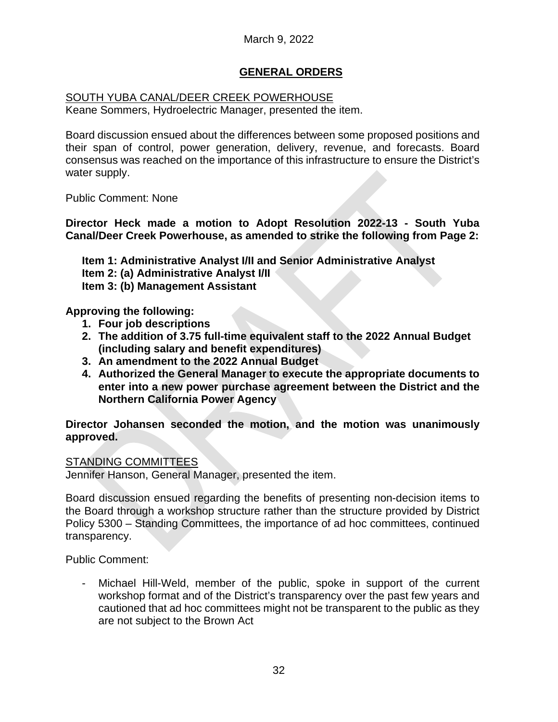# **GENERAL ORDERS**

## SOUTH YUBA CANAL/DEER CREEK POWERHOUSE

Keane Sommers, Hydroelectric Manager, presented the item.

Board discussion ensued about the differences between some proposed positions and their span of control, power generation, delivery, revenue, and forecasts. Board consensus was reached on the importance of this infrastructure to ensure the District's water supply.

Public Comment: None

**Director Heck made a motion to Adopt Resolution 2022-13 - South Yuba Canal/Deer Creek Powerhouse, as amended to strike the following from Page 2:**

**Item 1: Administrative Analyst I/II and Senior Administrative Analyst Item 2: (a) Administrative Analyst I/II Item 3: (b) Management Assistant**

**Approving the following:**

- **1. Four job descriptions**
- **2. The addition of 3.75 full-time equivalent staff to the 2022 Annual Budget (including salary and benefit expenditures)**
- **3. An amendment to the 2022 Annual Budget**
- **4. Authorized the General Manager to execute the appropriate documents to enter into a new power purchase agreement between the District and the Northern California Power Agency**

**Director Johansen seconded the motion, and the motion was unanimously approved.**

## STANDING COMMITTEES

Jennifer Hanson, General Manager, presented the item.

Board discussion ensued regarding the benefits of presenting non-decision items to the Board through a workshop structure rather than the structure provided by District Policy 5300 – Standing Committees, the importance of ad hoc committees, continued transparency.

Public Comment:

Michael Hill-Weld, member of the public, spoke in support of the current workshop format and of the District's transparency over the past few years and cautioned that ad hoc committees might not be transparent to the public as they are not subject to the Brown Act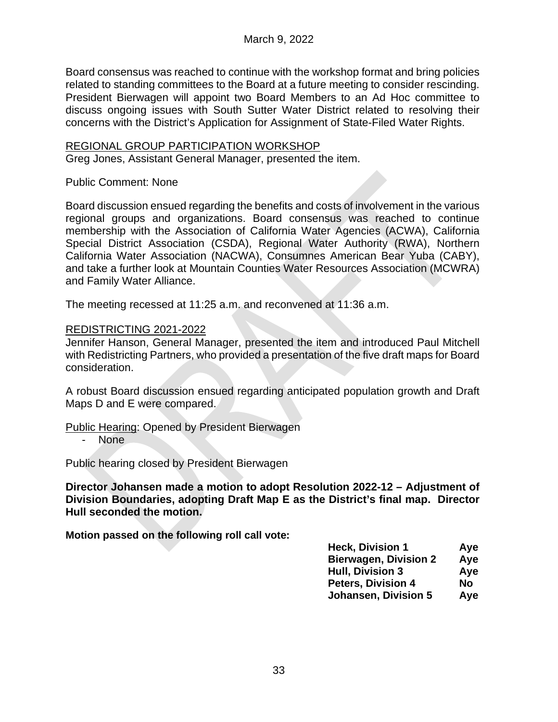Board consensus was reached to continue with the workshop format and bring policies related to standing committees to the Board at a future meeting to consider rescinding. President Bierwagen will appoint two Board Members to an Ad Hoc committee to discuss ongoing issues with South Sutter Water District related to resolving their concerns with the District's Application for Assignment of State-Filed Water Rights.

#### REGIONAL GROUP PARTICIPATION WORKSHOP

Greg Jones, Assistant General Manager, presented the item.

#### Public Comment: None

Board discussion ensued regarding the benefits and costs of involvement in the various regional groups and organizations. Board consensus was reached to continue membership with the Association of California Water Agencies (ACWA), California Special District Association (CSDA), Regional Water Authority (RWA), Northern California Water Association (NACWA), Consumnes American Bear Yuba (CABY), and take a further look at Mountain Counties Water Resources Association (MCWRA) and Family Water Alliance.

The meeting recessed at 11:25 a.m. and reconvened at 11:36 a.m.

#### REDISTRICTING 2021-2022

Jennifer Hanson, General Manager, presented the item and introduced Paul Mitchell with Redistricting Partners, who provided a presentation of the five draft maps for Board consideration.

A robust Board discussion ensued regarding anticipated population growth and Draft Maps D and E were compared.

Public Hearing: Opened by President Bierwagen

- None

Public hearing closed by President Bierwagen

**Director Johansen made a motion to adopt Resolution 2022-12 – Adjustment of Division Boundaries, adopting Draft Map E as the District's final map. Director Hull seconded the motion.**

**Motion passed on the following roll call vote:**

| <b>Heck, Division 1</b>      | Aye |
|------------------------------|-----|
| <b>Bierwagen, Division 2</b> | Aye |
| <b>Hull, Division 3</b>      | Aye |
| <b>Peters, Division 4</b>    | No  |
| <b>Johansen, Division 5</b>  | Aye |